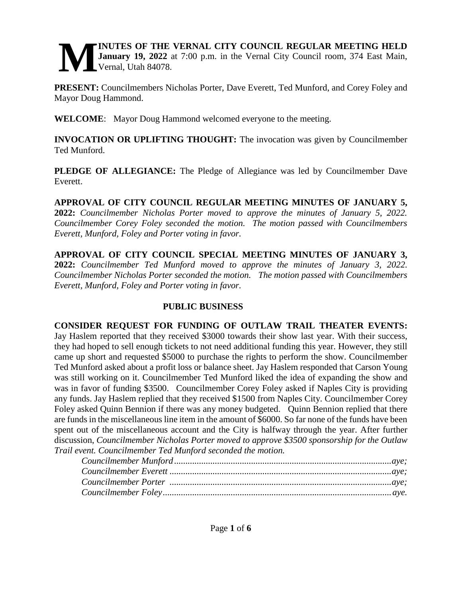#### **INUTES OF THE VERNAL CITY COUNCIL REGULAR MEETING HELD January 19, 2022** at 7:00 p.m. in the Vernal City Council room, 374 East Main, Vernal, Utah 84078. **M**

**PRESENT:** Councilmembers Nicholas Porter, Dave Everett, Ted Munford, and Corey Foley and Mayor Doug Hammond.

**WELCOME**: Mayor Doug Hammond welcomed everyone to the meeting.

**INVOCATION OR UPLIFTING THOUGHT:** The invocation was given by Councilmember Ted Munford.

**PLEDGE OF ALLEGIANCE:** The Pledge of Allegiance was led by Councilmember Dave Everett.

**APPROVAL OF CITY COUNCIL REGULAR MEETING MINUTES OF JANUARY 5, 2022:** *Councilmember Nicholas Porter moved to approve the minutes of January 5, 2022. Councilmember Corey Foley seconded the motion. The motion passed with Councilmembers Everett, Munford, Foley and Porter voting in favor.*

**APPROVAL OF CITY COUNCIL SPECIAL MEETING MINUTES OF JANUARY 3, 2022:** *Councilmember Ted Munford moved to approve the minutes of January 3, 2022. Councilmember Nicholas Porter seconded the motion. The motion passed with Councilmembers Everett, Munford, Foley and Porter voting in favor.* 

# **PUBLIC BUSINESS**

**CONSIDER REQUEST FOR FUNDING OF OUTLAW TRAIL THEATER EVENTS:**  Jay Haslem reported that they received \$3000 towards their show last year. With their success, they had hoped to sell enough tickets to not need additional funding this year. However, they still came up short and requested \$5000 to purchase the rights to perform the show. Councilmember Ted Munford asked about a profit loss or balance sheet. Jay Haslem responded that Carson Young was still working on it. Councilmember Ted Munford liked the idea of expanding the show and was in favor of funding \$3500. Councilmember Corey Foley asked if Naples City is providing any funds. Jay Haslem replied that they received \$1500 from Naples City. Councilmember Corey Foley asked Quinn Bennion if there was any money budgeted. Quinn Bennion replied that there are funds in the miscellaneous line item in the amount of \$6000. So far none of the funds have been spent out of the miscellaneous account and the City is halfway through the year. After further discussion, *Councilmember Nicholas Porter moved to approve \$3500 sponsorship for the Outlaw Trail event. Councilmember Ted Munford seconded the motion.*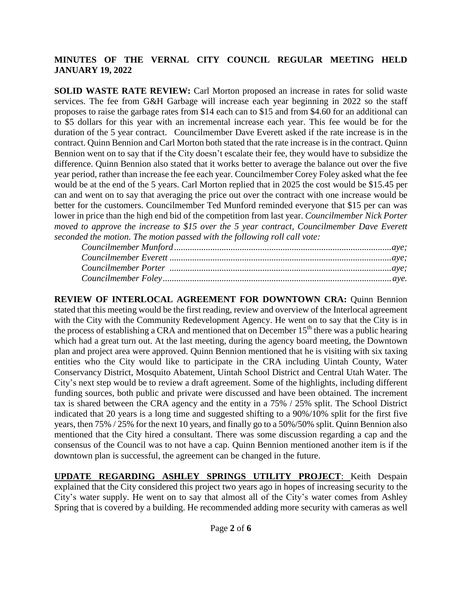**SOLID WASTE RATE REVIEW:** Carl Morton proposed an increase in rates for solid waste services. The fee from G&H Garbage will increase each year beginning in 2022 so the staff proposes to raise the garbage rates from \$14 each can to \$15 and from \$4.60 for an additional can to \$5 dollars for this year with an incremental increase each year. This fee would be for the duration of the 5 year contract. Councilmember Dave Everett asked if the rate increase is in the contract. Quinn Bennion and Carl Morton both stated that the rate increase is in the contract. Quinn Bennion went on to say that if the City doesn't escalate their fee, they would have to subsidize the difference. Quinn Bennion also stated that it works better to average the balance out over the five year period, rather than increase the fee each year. Councilmember Corey Foley asked what the fee would be at the end of the 5 years. Carl Morton replied that in 2025 the cost would be \$15.45 per can and went on to say that averaging the price out over the contract with one increase would be better for the customers. Councilmember Ted Munford reminded everyone that \$15 per can was lower in price than the high end bid of the competition from last year. Councilmember Nick Porter moved to approve the increase to \$15 over the 5 year contract, Councilmember Dave Everett seconded the motion. The motion passed with the following roll call vote:

REVIEW OF INTERLOCAL AGREEMENT FOR DOWNTOWN CRA: Quinn Bennion stated that this meeting would be the first reading, review and overview of the Interlocal agreement with the City with the Community Redevelopment Agency. He went on to say that the City is in the process of establishing a CRA and mentioned that on December 15<sup>th</sup> there was a public hearing which had a great turn out. At the last meeting, during the agency board meeting, the Downtown plan and project area were approved. Quinn Bennion mentioned that he is visiting with six taxing entities who the City would like to participate in the CRA including Uintah County, Water Conservancy District, Mosquito Abatement, Uintah School District and Central Utah Water. The City's next step would be to review a draft agreement. Some of the highlights, including different funding sources, both public and private were discussed and have been obtained. The increment tax is shared between the CRA agency and the entity in a 75% / 25% split. The School District indicated that 20 years is a long time and suggested shifting to a 90%/10% split for the first five years, then 75% / 25% for the next 10 years, and finally go to a 50%/50% split. Quinn Bennion also mentioned that the City hired a consultant. There was some discussion regarding a cap and the consensus of the Council was to not have a cap. Ouinn Bennion mentioned another item is if the downtown plan is successful, the agreement can be changed in the future.

**UPDATE REGARDING ASHLEY SPRINGS UTILITY PROJECT:** Keith Despain explained that the City considered this project two years ago in hopes of increasing security to the City's water supply. He went on to say that almost all of the City's water comes from Ashley Spring that is covered by a building. He recommended adding more security with cameras as well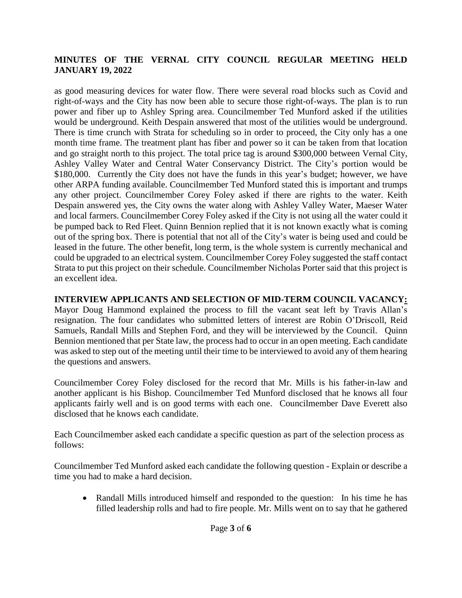as good measuring devices for water flow. There were several road blocks such as Covid and right-of-ways and the City has now been able to secure those right-of-ways. The plan is to run power and fiber up to Ashley Spring area. Councilmember Ted Munford asked if the utilities would be underground. Keith Despain answered that most of the utilities would be underground. There is time crunch with Strata for scheduling so in order to proceed, the City only has a one month time frame. The treatment plant has fiber and power so it can be taken from that location and go straight north to this project. The total price tag is around \$300,000 between Vernal City, Ashley Valley Water and Central Water Conservancy District. The City's portion would be \$180,000. Currently the City does not have the funds in this year's budget; however, we have other ARPA funding available. Councilmember Ted Munford stated this is important and trumps any other project. Councilmember Corey Foley asked if there are rights to the water. Keith Despain answered yes, the City owns the water along with Ashley Valley Water, Maeser Water and local farmers. Councilmember Corey Foley asked if the City is not using all the water could it be pumped back to Red Fleet. Quinn Bennion replied that it is not known exactly what is coming out of the spring box. There is potential that not all of the City's water is being used and could be leased in the future. The other benefit, long term, is the whole system is currently mechanical and could be upgraded to an electrical system. Councilmember Corey Foley suggested the staff contact Strata to put this project on their schedule. Councilmember Nicholas Porter said that this project is an excellent idea.

**INTERVIEW APPLICANTS AND SELECTION OF MID-TERM COUNCIL VACANCY:** Mayor Doug Hammond explained the process to fill the vacant seat left by Travis Allan's resignation. The four candidates who submitted letters of interest are Robin O'Driscoll, Reid Samuels, Randall Mills and Stephen Ford, and they will be interviewed by the Council. Quinn Bennion mentioned that per State law, the process had to occur in an open meeting. Each candidate was asked to step out of the meeting until their time to be interviewed to avoid any of them hearing the questions and answers.

Councilmember Corey Foley disclosed for the record that Mr. Mills is his father-in-law and another applicant is his Bishop. Councilmember Ted Munford disclosed that he knows all four applicants fairly well and is on good terms with each one. Councilmember Dave Everett also disclosed that he knows each candidate.

Each Councilmember asked each candidate a specific question as part of the selection process as follows:

Councilmember Ted Munford asked each candidate the following question - Explain or describe a time you had to make a hard decision.

 Randall Mills introduced himself and responded to the question: In his time he has filled leadership rolls and had to fire people. Mr. Mills went on to say that he gathered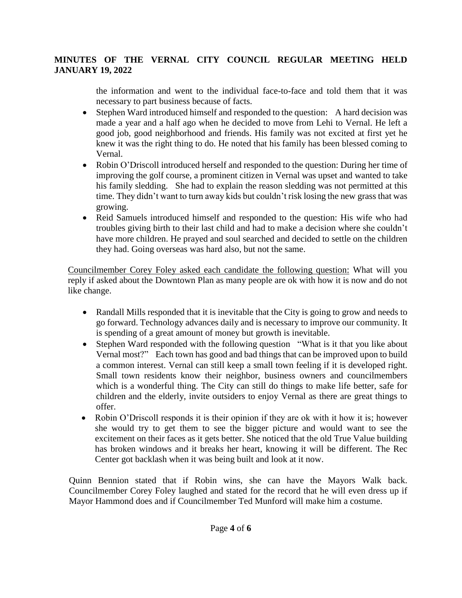the information and went to the individual face-to-face and told them that it was necessary to part business because of facts.

- Stephen Ward introduced himself and responded to the question: A hard decision was made a year and a half ago when he decided to move from Lehi to Vernal. He left a good job, good neighborhood and friends. His family was not excited at first yet he knew it was the right thing to do. He noted that his family has been blessed coming to Vernal.
- Robin O'Driscoll introduced herself and responded to the question: During her time of improving the golf course, a prominent citizen in Vernal was upset and wanted to take his family sledding. She had to explain the reason sledding was not permitted at this time. They didn't want to turn away kids but couldn't risk losing the new grass that was growing.
- Reid Samuels introduced himself and responded to the question: His wife who had troubles giving birth to their last child and had to make a decision where she couldn't have more children. He prayed and soul searched and decided to settle on the children they had. Going overseas was hard also, but not the same.

Councilmember Corey Foley asked each candidate the following question: What will you reply if asked about the Downtown Plan as many people are ok with how it is now and do not like change.

- Randall Mills responded that it is inevitable that the City is going to grow and needs to go forward. Technology advances daily and is necessary to improve our community. It is spending of a great amount of money but growth is inevitable.
- Stephen Ward responded with the following question "What is it that you like about Vernal most?" Each town has good and bad things that can be improved upon to build a common interest. Vernal can still keep a small town feeling if it is developed right. Small town residents know their neighbor, business owners and councilmembers which is a wonderful thing. The City can still do things to make life better, safe for children and the elderly, invite outsiders to enjoy Vernal as there are great things to offer.
- Robin O'Driscoll responds it is their opinion if they are ok with it how it is; however she would try to get them to see the bigger picture and would want to see the excitement on their faces as it gets better. She noticed that the old True Value building has broken windows and it breaks her heart, knowing it will be different. The Rec Center got backlash when it was being built and look at it now.

Quinn Bennion stated that if Robin wins, she can have the Mayors Walk back. Councilmember Corey Foley laughed and stated for the record that he will even dress up if Mayor Hammond does and if Councilmember Ted Munford will make him a costume.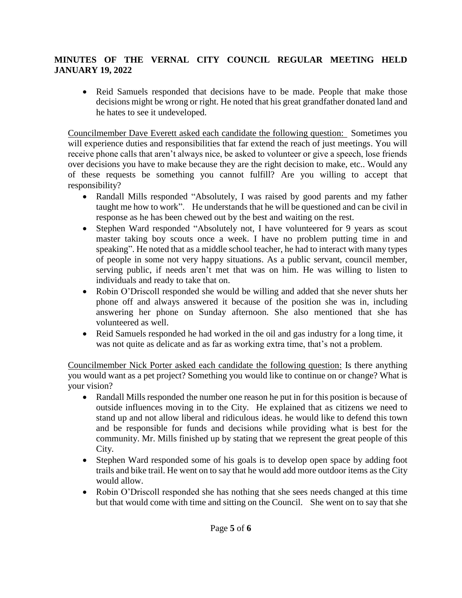• Reid Samuels responded that decisions have to be made. People that make those decisions might be wrong or right. He noted that his great grandfather donated land and he hates to see it undeveloped.

Councilmember Dave Everett asked each candidate the following question: Sometimes you will experience duties and responsibilities that far extend the reach of just meetings. You will receive phone calls that aren't always nice, be asked to volunteer or give a speech, lose friends over decisions you have to make because they are the right decision to make, etc.. Would any of these requests be something you cannot fulfill? Are you willing to accept that responsibility?

- Randall Mills responded "Absolutely, I was raised by good parents and my father taught me how to work". He understands that he will be questioned and can be civil in response as he has been chewed out by the best and waiting on the rest.
- Stephen Ward responded "Absolutely not, I have volunteered for 9 years as scout master taking boy scouts once a week. I have no problem putting time in and speaking". He noted that as a middle school teacher, he had to interact with many types of people in some not very happy situations. As a public servant, council member, serving public, if needs aren't met that was on him. He was willing to listen to individuals and ready to take that on.
- Robin O'Driscoll responded she would be willing and added that she never shuts her phone off and always answered it because of the position she was in, including answering her phone on Sunday afternoon. She also mentioned that she has volunteered as well.
- Reid Samuels responded he had worked in the oil and gas industry for a long time, it was not quite as delicate and as far as working extra time, that's not a problem.

Councilmember Nick Porter asked each candidate the following question: Is there anything you would want as a pet project? Something you would like to continue on or change? What is your vision?

- Randall Mills responded the number one reason he put in for this position is because of outside influences moving in to the City. He explained that as citizens we need to stand up and not allow liberal and ridiculous ideas. he would like to defend this town and be responsible for funds and decisions while providing what is best for the community. Mr. Mills finished up by stating that we represent the great people of this City.
- Stephen Ward responded some of his goals is to develop open space by adding foot trails and bike trail. He went on to say that he would add more outdoor items as the City would allow.
- Robin O'Driscoll responded she has nothing that she sees needs changed at this time but that would come with time and sitting on the Council. She went on to say that she